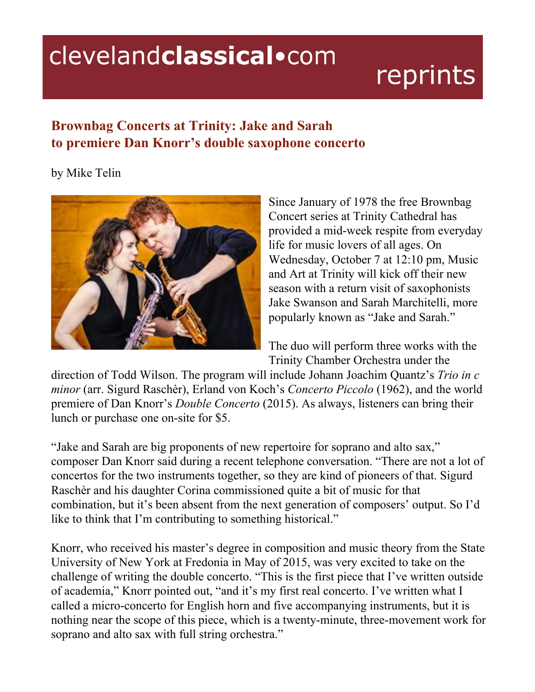## clevelandclassical.com

## reprints

## **Brownbag Concerts at Trinity: Jake and Sarah to premiere Dan Knorr's double saxophone concerto**

by Mike Telin



Since January of 1978 the free Brownbag Concert series at Trinity Cathedral has provided a mid-week respite from everyday life for music lovers of all ages. On Wednesday, October 7 at 12:10 pm, Music and Art at Trinity will kick off their new season with a return visit of saxophonists Jake Swanson and Sarah Marchitelli, more popularly known as "Jake and Sarah."

The duo will perform three works with the Trinity Chamber Orchestra under the

direction of Todd Wilson. The program will include Johann Joachim Quantz's *Trio in c minor* (arr. Sigurd Raschèr), Erland von Koch's *Concerto Piccolo* (1962), and the world premiere of Dan Knorr's *Double Concerto* (2015). As always, listeners can bring their lunch or purchase one on-site for \$5.

"Jake and Sarah are big proponents of new repertoire for soprano and alto sax," composer Dan Knorr said during a recent telephone conversation. "There are not a lot of concertos for the two instruments together, so they are kind of pioneers of that. Sigurd Raschèr and his daughter Corina commissioned quite a bit of music for that combination, but it's been absent from the next generation of composers' output. So I'd like to think that I'm contributing to something historical."

Knorr, who received his master's degree in composition and music theory from the State University of New York at Fredonia in May of 2015, was very excited to take on the challenge of writing the double concerto. "This is the first piece that I've written outside of academia," Knorr pointed out, "and it's my first real concerto. I've written what I called a micro-concerto for English horn and five accompanying instruments, but it is nothing near the scope of this piece, which is a twenty-minute, three-movement work for soprano and alto sax with full string orchestra."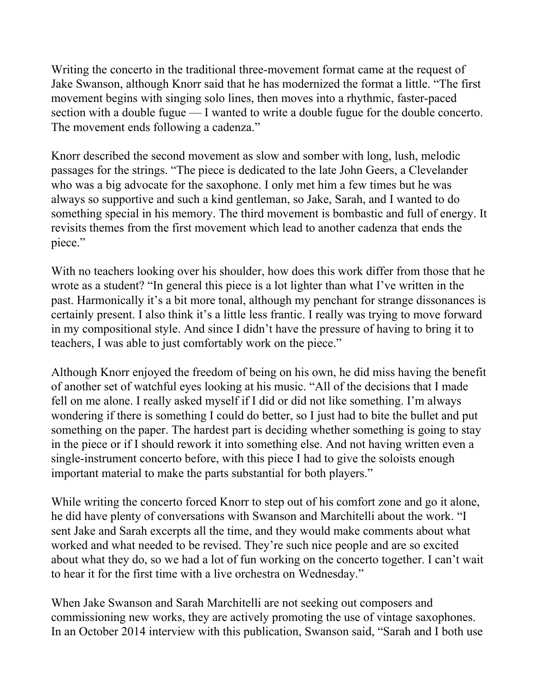Writing the concerto in the traditional three-movement format came at the request of Jake Swanson, although Knorr said that he has modernized the format a little. "The first movement begins with singing solo lines, then moves into a rhythmic, faster-paced section with a double fugue — I wanted to write a double fugue for the double concerto. The movement ends following a cadenza."

Knorr described the second movement as slow and somber with long, lush, melodic passages for the strings. "The piece is dedicated to the late John Geers, a Clevelander who was a big advocate for the saxophone. I only met him a few times but he was always so supportive and such a kind gentleman, so Jake, Sarah, and I wanted to do something special in his memory. The third movement is bombastic and full of energy. It revisits themes from the first movement which lead to another cadenza that ends the piece."

With no teachers looking over his shoulder, how does this work differ from those that he wrote as a student? "In general this piece is a lot lighter than what I've written in the past. Harmonically it's a bit more tonal, although my penchant for strange dissonances is certainly present. I also think it's a little less frantic. I really was trying to move forward in my compositional style. And since I didn't have the pressure of having to bring it to teachers, I was able to just comfortably work on the piece."

Although Knorr enjoyed the freedom of being on his own, he did miss having the benefit of another set of watchful eyes looking at his music. "All of the decisions that I made fell on me alone. I really asked myself if I did or did not like something. I'm always wondering if there is something I could do better, so I just had to bite the bullet and put something on the paper. The hardest part is deciding whether something is going to stay in the piece or if I should rework it into something else. And not having written even a single-instrument concerto before, with this piece I had to give the soloists enough important material to make the parts substantial for both players."

While writing the concerto forced Knorr to step out of his comfort zone and go it alone, he did have plenty of conversations with Swanson and Marchitelli about the work. "I sent Jake and Sarah excerpts all the time, and they would make comments about what worked and what needed to be revised. They're such nice people and are so excited about what they do, so we had a lot of fun working on the concerto together. I can't wait to hear it for the first time with a live orchestra on Wednesday."

When Jake Swanson and Sarah Marchitelli are not seeking out composers and commissioning new works, they are actively promoting the use of vintage saxophones. In an October 2014 interview with this publication, Swanson said, "Sarah and I both use